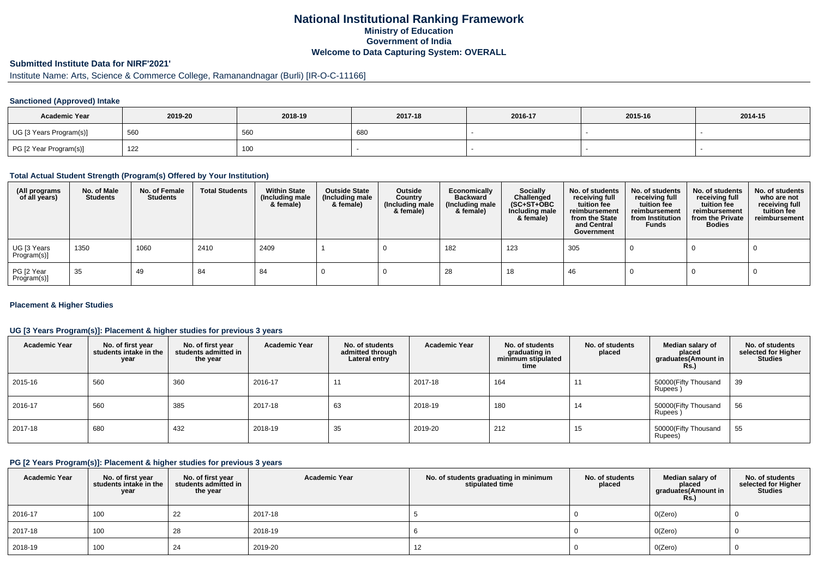# **National Institutional Ranking FrameworkMinistry of Education Government of IndiaWelcome to Data Capturing System: OVERALL**

# **Submitted Institute Data for NIRF'2021'**

# Institute Name: Arts, Science & Commerce College, Ramanandnagar (Burli) [IR-O-C-11166]

### **Sanctioned (Approved) Intake**

| <b>Academic Year</b>    | 2019-20 | 2018-19         | 2017-18 | 2016-17 | 2015-16 | 2014-15 |
|-------------------------|---------|-----------------|---------|---------|---------|---------|
| UG [3 Years Program(s)] | 560     | 56 <sub>C</sub> | 680     |         |         |         |
| PG [2 Year Program(s)]  | 122     | 100             |         |         |         |         |

### **Total Actual Student Strength (Program(s) Offered by Your Institution)**

| (All programs<br>of all years) | No. of Male<br><b>Students</b> | No. of Female<br>Students | <b>Total Students</b> | <b>Within State</b><br>(Including male<br>& female) | <b>Outside State</b><br>(Including male<br>& female) | Outside<br>Country<br>(Including male<br>& female) | Economically<br><b>Backward</b><br>(Including male<br>& female) | <b>Socially</b><br>Challenged<br>$(SC+ST+OBC)$<br>Including male<br>& female) | No. of students<br>receiving full<br>tuition fee<br>reimbursement<br>from the State<br>and Central<br>Government | No. of students<br>receiving full<br>tuition fee<br>reimbursement<br>from Institution<br><b>Funds</b> | No. of students<br>receiving full<br>tuition fee<br>reimbursement<br>from the Private<br><b>Bodies</b> | No. of students<br>who are not<br>receiving full<br>tuition fee<br>reimbursement |
|--------------------------------|--------------------------------|---------------------------|-----------------------|-----------------------------------------------------|------------------------------------------------------|----------------------------------------------------|-----------------------------------------------------------------|-------------------------------------------------------------------------------|------------------------------------------------------------------------------------------------------------------|-------------------------------------------------------------------------------------------------------|--------------------------------------------------------------------------------------------------------|----------------------------------------------------------------------------------|
| UG [3 Years<br>Program(s)]     | 1350                           | 1060                      | 2410                  | 2409                                                |                                                      |                                                    | 182                                                             | 123                                                                           | 305                                                                                                              |                                                                                                       |                                                                                                        |                                                                                  |
| PG [2 Year<br>Program(s)]      | 35                             | 49                        | 84                    | 84                                                  |                                                      |                                                    | 28                                                              | 18                                                                            | -46                                                                                                              |                                                                                                       |                                                                                                        |                                                                                  |

### **Placement & Higher Studies**

### **UG [3 Years Program(s)]: Placement & higher studies for previous 3 years**

| <b>Academic Year</b> | No. of first year<br>students intake in the<br>year | No. of first year<br>students admitted in<br>the year | <b>Academic Year</b> | No. of students<br>admitted through<br>Lateral entry | <b>Academic Year</b> | No. of students<br>graduating in<br>minimum stipulated<br>time | No. of students<br>placed | Median salary of<br>placed<br>graduates(Amount in<br>Rs. | No. of students<br>selected for Higher<br><b>Studies</b> |
|----------------------|-----------------------------------------------------|-------------------------------------------------------|----------------------|------------------------------------------------------|----------------------|----------------------------------------------------------------|---------------------------|----------------------------------------------------------|----------------------------------------------------------|
| 2015-16              | 560                                                 | 360                                                   | 2016-17              | 11                                                   | 2017-18              | 164                                                            | $1^{\prime}$              | 50000(Fifty Thousand<br>Rupees)                          | 39                                                       |
| 2016-17              | 560                                                 | 385                                                   | 2017-18              | 63                                                   | 2018-19              | 180                                                            | 14                        | 50000(Fifty Thousand<br>Rupees)                          | 56                                                       |
| 2017-18              | 680                                                 | 432                                                   | 2018-19              | 35                                                   | 2019-20              | 212                                                            | 15                        | 50000(Fifty Thousand<br>Rupees)                          | 55                                                       |

#### **PG [2 Years Program(s)]: Placement & higher studies for previous 3 years**

| <b>Academic Year</b> | No. of first year<br>students intake in the<br>year | No. of first vear<br>students admitted in<br>the year | <b>Academic Year</b> | No. of students graduating in minimum<br>stipulated time | No. of students<br>placed | Median salary of<br>placed<br>graduates(Amount in<br><b>Rs.)</b> | No. of students<br>selected for Higher<br><b>Studies</b> |
|----------------------|-----------------------------------------------------|-------------------------------------------------------|----------------------|----------------------------------------------------------|---------------------------|------------------------------------------------------------------|----------------------------------------------------------|
| $12016 - 17$         | 100                                                 | 22                                                    | 2017-18              |                                                          |                           | O(Zero)                                                          |                                                          |
| 2017-18              | 100                                                 | 28                                                    | 2018-19              |                                                          |                           | O(Zero)                                                          |                                                          |
| 2018-19              | 100                                                 | 24                                                    | 2019-20              | 12                                                       |                           | O(Zero)                                                          |                                                          |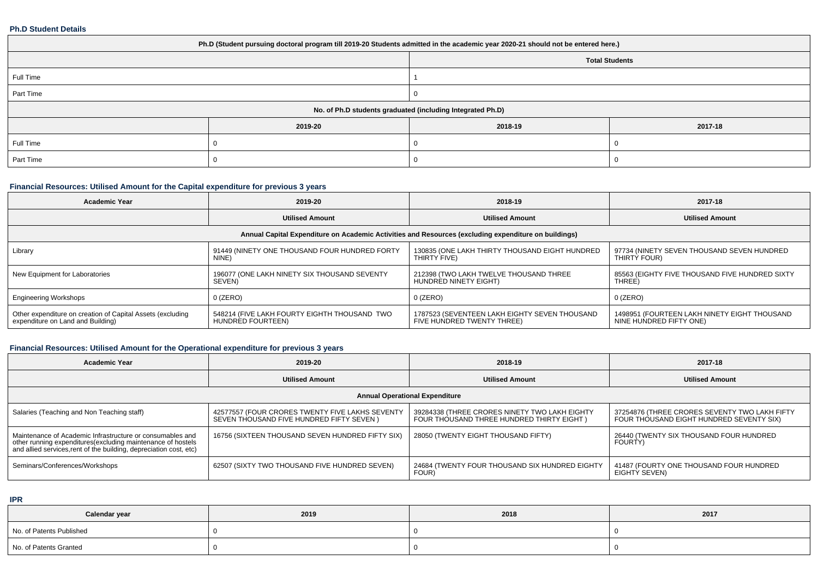#### **Ph.D Student Details**

| Ph.D (Student pursuing doctoral program till 2019-20 Students admitted in the academic year 2020-21 should not be entered here.) |         |         |                       |  |  |
|----------------------------------------------------------------------------------------------------------------------------------|---------|---------|-----------------------|--|--|
|                                                                                                                                  |         |         | <b>Total Students</b> |  |  |
| Full Time                                                                                                                        |         |         |                       |  |  |
| Part Time                                                                                                                        |         |         |                       |  |  |
| No. of Ph.D students graduated (including Integrated Ph.D)                                                                       |         |         |                       |  |  |
|                                                                                                                                  | 2019-20 | 2018-19 | 2017-18               |  |  |
| Full Time                                                                                                                        |         |         |                       |  |  |
| Part Time                                                                                                                        |         |         |                       |  |  |

## **Financial Resources: Utilised Amount for the Capital expenditure for previous 3 years**

| <b>Academic Year</b>                                                                                 | 2019-20                                                           | 2018-19                                                                     | 2017-18                                                                 |  |  |  |  |
|------------------------------------------------------------------------------------------------------|-------------------------------------------------------------------|-----------------------------------------------------------------------------|-------------------------------------------------------------------------|--|--|--|--|
|                                                                                                      | <b>Utilised Amount</b>                                            | <b>Utilised Amount</b>                                                      | <b>Utilised Amount</b>                                                  |  |  |  |  |
| Annual Capital Expenditure on Academic Activities and Resources (excluding expenditure on buildings) |                                                                   |                                                                             |                                                                         |  |  |  |  |
| Library                                                                                              | 91449 (NINETY ONE THOUSAND FOUR HUNDRED FORTY<br>NINE)            | 130835 (ONE LAKH THIRTY THOUSAND EIGHT HUNDRED<br>THIRTY FIVE)              | 97734 (NINETY SEVEN THOUSAND SEVEN HUNDRED<br>THIRTY FOUR)              |  |  |  |  |
| New Equipment for Laboratories                                                                       | 196077 (ONE LAKH NINETY SIX THOUSAND SEVENTY<br>SEVEN)            | 212398 (TWO LAKH TWELVE THOUSAND THREE<br>HUNDRED NINETY EIGHT)             | 85563 (EIGHTY FIVE THOUSAND FIVE HUNDRED SIXTY<br>THREE)                |  |  |  |  |
| <b>Engineering Workshops</b>                                                                         | $0$ (ZERO)                                                        | $0$ (ZERO)                                                                  | $0$ (ZERO)                                                              |  |  |  |  |
| Other expenditure on creation of Capital Assets (excluding<br>expenditure on Land and Building)      | 548214 (FIVE LAKH FOURTY EIGHTH THOUSAND TWO<br>HUNDRED FOURTEEN) | 1787523 (SEVENTEEN LAKH EIGHTY SEVEN THOUSAND<br>FIVE HUNDRED TWENTY THREE) | 1498951 (FOURTEEN LAKH NINETY EIGHT THOUSAND<br>NINE HUNDRED FIFTY ONE) |  |  |  |  |

## **Financial Resources: Utilised Amount for the Operational expenditure for previous 3 years**

| <b>Academic Year</b>                                                                                                                                                                            | 2019-20                                                                                     | 2018-19                                                                                    | 2017-18                                                                                   |  |  |  |
|-------------------------------------------------------------------------------------------------------------------------------------------------------------------------------------------------|---------------------------------------------------------------------------------------------|--------------------------------------------------------------------------------------------|-------------------------------------------------------------------------------------------|--|--|--|
|                                                                                                                                                                                                 | <b>Utilised Amount</b>                                                                      | <b>Utilised Amount</b>                                                                     | <b>Utilised Amount</b>                                                                    |  |  |  |
| <b>Annual Operational Expenditure</b>                                                                                                                                                           |                                                                                             |                                                                                            |                                                                                           |  |  |  |
| Salaries (Teaching and Non Teaching staff)                                                                                                                                                      | 42577557 (FOUR CRORES TWENTY FIVE LAKHS SEVENTY<br>SEVEN THOUSAND FIVE HUNDRED FIFTY SEVEN) | 39284338 (THREE CRORES NINETY TWO LAKH EIGHTY<br>FOUR THOUSAND THREE HUNDRED THIRTY EIGHT) | 37254876 (THREE CRORES SEVENTY TWO LAKH FIFTY<br>FOUR THOUSAND EIGHT HUNDRED SEVENTY SIX) |  |  |  |
| Maintenance of Academic Infrastructure or consumables and<br>other running expenditures (excluding maintenance of hostels<br>and allied services, rent of the building, depreciation cost, etc) | 16756 (SIXTEEN THOUSAND SEVEN HUNDRED FIFTY SIX)                                            | 28050 (TWENTY EIGHT THOUSAND FIFTY)                                                        | 26440 (TWENTY SIX THOUSAND FOUR HUNDRED<br><b>FOURTY</b>                                  |  |  |  |
| Seminars/Conferences/Workshops                                                                                                                                                                  | 62507 (SIXTY TWO THOUSAND FIVE HUNDRED SEVEN)                                               | 24684 (TWENTY FOUR THOUSAND SIX HUNDRED EIGHTY<br>FOUR)                                    | 41487 (FOURTY ONE THOUSAND FOUR HUNDRED<br>EIGHTY SEVEN)                                  |  |  |  |

**IPR**

| Calendar year            | 2019 | 2018 | 2017 |
|--------------------------|------|------|------|
| No. of Patents Published |      |      |      |
| No. of Patents Granted   |      |      |      |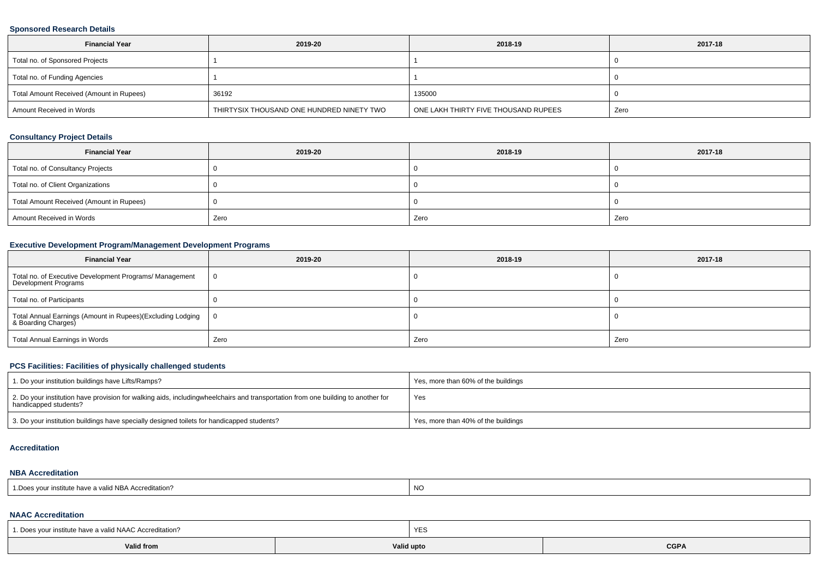### **Sponsored Research Details**

| <b>Financial Year</b>                    | 2019-20                                   | 2018-19                              | 2017-18 |
|------------------------------------------|-------------------------------------------|--------------------------------------|---------|
| Total no. of Sponsored Projects          |                                           |                                      |         |
| Total no. of Funding Agencies            |                                           |                                      |         |
| Total Amount Received (Amount in Rupees) | 36192                                     | 135000                               |         |
| Amount Received in Words                 | THIRTYSIX THOUSAND ONE HUNDRED NINETY TWO | ONE LAKH THIRTY FIVE THOUSAND RUPEES | Zero    |

### **Consultancy Project Details**

| <b>Financial Year</b>                    | 2019-20 | 2018-19 | 2017-18 |
|------------------------------------------|---------|---------|---------|
| Total no. of Consultancy Projects        |         |         |         |
| Total no. of Client Organizations        |         |         |         |
| Total Amount Received (Amount in Rupees) |         |         |         |
| Amount Received in Words                 | Zero    | Zero    | Zero    |

## **Executive Development Program/Management Development Programs**

| <b>Financial Year</b>                                                             | 2019-20 | 2018-19 | 2017-18 |
|-----------------------------------------------------------------------------------|---------|---------|---------|
| Total no. of Executive Development Programs/ Management<br>Development Programs   | 0       |         |         |
| Total no. of Participants                                                         |         |         |         |
| Total Annual Earnings (Amount in Rupees)(Excluding Lodging<br>& Boarding Charges) |         |         |         |
| Total Annual Earnings in Words                                                    | Zero    | Zero    | Zero    |

## **PCS Facilities: Facilities of physically challenged students**

| 1. Do your institution buildings have Lifts/Ramps?                                                                                                        | Yes, more than 60% of the buildings |
|-----------------------------------------------------------------------------------------------------------------------------------------------------------|-------------------------------------|
| 2. Do your institution have provision for walking aids, includingwheelchairs and transportation from one building to another for<br>handicapped students? | Yes                                 |
| 3. Do your institution buildings have specially designed toilets for handicapped students?                                                                | Yes, more than 40% of the buildings |

#### **Accreditation**

#### **NBA Accreditation**

| r institute have a valid NBA Accreditation?<br><sup>1</sup> Does your in. | <b>NO</b> |
|---------------------------------------------------------------------------|-----------|
|---------------------------------------------------------------------------|-----------|

### **NAAC Accreditation**

| 1. Does vour institute have a valid NAAC Accreditation? |            | YES |                 |  |  |  |
|---------------------------------------------------------|------------|-----|-----------------|--|--|--|
| <b>Valid from</b>                                       | Valid upto |     | $\mathsf{CGPA}$ |  |  |  |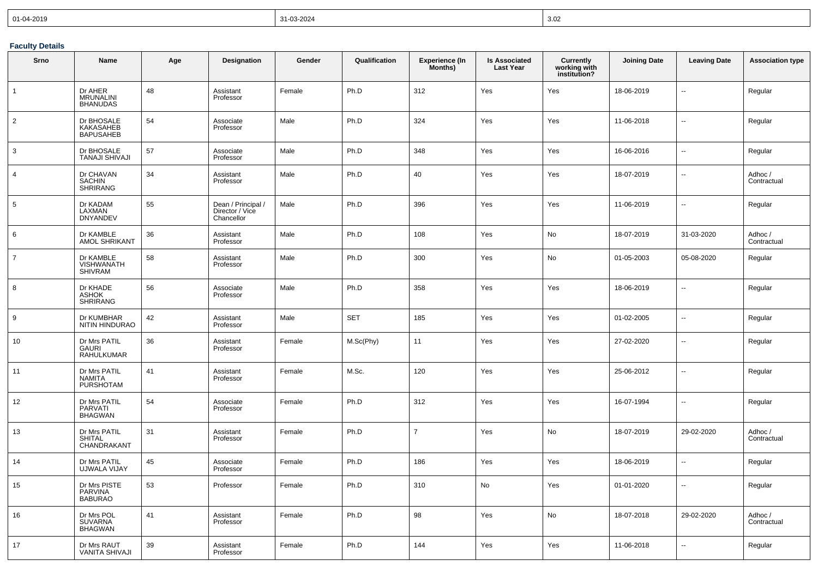| 01-04-2019 | 31-03-2024 | 3.02 |
|------------|------------|------|
|------------|------------|------|

## **Faculty Details**

| Srno           | Name                                              | Age | <b>Designation</b>                                  | Gender | Qualification | <b>Experience (In</b><br>Months) | <b>Is Associated</b><br><b>Last Year</b> | <b>Currently</b><br>working with<br>institution? | <b>Joining Date</b> | <b>Leaving Date</b>      | <b>Association type</b> |
|----------------|---------------------------------------------------|-----|-----------------------------------------------------|--------|---------------|----------------------------------|------------------------------------------|--------------------------------------------------|---------------------|--------------------------|-------------------------|
| $\mathbf{1}$   | Dr AHER<br><b>MRUNALINI</b><br><b>BHANUDAS</b>    | 48  | Assistant<br>Professor                              | Female | Ph.D          | 312                              | Yes                                      | Yes                                              | 18-06-2019          | $\ddot{\phantom{a}}$     | Regular                 |
| $\overline{2}$ | Dr BHOSALE<br>KAKASAHEB<br>BAPUSAHEB              | 54  | Associate<br>Professor                              | Male   | Ph.D          | 324                              | Yes                                      | Yes                                              | 11-06-2018          | $\ddotsc$                | Regular                 |
| 3              | Dr BHOSALE<br><b>TANAJI SHIVAJI</b>               | 57  | Associate<br>Professor                              | Male   | Ph.D          | 348                              | Yes                                      | Yes                                              | 16-06-2016          | $\sim$                   | Regular                 |
| $\overline{4}$ | Dr CHAVAN<br><b>SACHIN</b><br><b>SHRIRANG</b>     | 34  | Assistant<br>Professor                              | Male   | Ph.D          | 40                               | Yes                                      | Yes                                              | 18-07-2019          | $\sim$                   | Adhoc/<br>Contractual   |
| 5              | Dr KADAM<br>LAXMAN<br><b>DNYANDEV</b>             | 55  | Dean / Principal /<br>Director / Vice<br>Chancellor | Male   | Ph.D          | 396                              | Yes                                      | Yes                                              | 11-06-2019          | $\ddotsc$                | Regular                 |
| 6              | Dr KAMBLE<br>AMOL SHRIKANT                        | 36  | Assistant<br>Professor                              | Male   | Ph.D          | 108                              | Yes                                      | No                                               | 18-07-2019          | 31-03-2020               | Adhoc /<br>Contractual  |
| $\overline{7}$ | Dr KAMBLE<br><b>VISHWANATH</b><br>SHIVRAM         | 58  | Assistant<br>Professor                              | Male   | Ph.D          | 300                              | Yes                                      | No                                               | 01-05-2003          | 05-08-2020               | Regular                 |
| 8              | Dr KHADE<br><b>ASHOK</b><br><b>SHRIRANG</b>       | 56  | Associate<br>Professor                              | Male   | Ph.D          | 358                              | Yes                                      | Yes                                              | 18-06-2019          | $\ddotsc$                | Regular                 |
| 9              | Dr KUMBHAR<br>NITIN HINDURAO                      | 42  | Assistant<br>Professor                              | Male   | <b>SET</b>    | 185                              | Yes                                      | Yes                                              | 01-02-2005          | ц.                       | Regular                 |
| 10             | Dr Mrs PATIL<br><b>GAURI</b><br><b>RAHULKUMAR</b> | 36  | Assistant<br>Professor                              | Female | M.Sc(Phy)     | 11                               | Yes                                      | Yes                                              | 27-02-2020          | $\ddotsc$                | Regular                 |
| 11             | Dr Mrs PATIL<br><b>NAMITA</b><br><b>PURSHOTAM</b> | 41  | Assistant<br>Professor                              | Female | M.Sc.         | 120                              | Yes                                      | Yes                                              | 25-06-2012          | $\ddotsc$                | Regular                 |
| 12             | Dr Mrs PATIL<br>PARVATI<br><b>BHAGWAN</b>         | 54  | Associate<br>Professor                              | Female | Ph.D          | 312                              | Yes                                      | Yes                                              | 16-07-1994          | $\overline{\phantom{a}}$ | Regular                 |
| 13             | Dr Mrs PATIL<br><b>SHITAL</b><br>CHANDRAKANT      | 31  | Assistant<br>Professor                              | Female | Ph.D          | $\overline{7}$                   | Yes                                      | No                                               | 18-07-2019          | 29-02-2020               | Adhoc /<br>Contractual  |
| 14             | Dr Mrs PATIL<br>UJWALA VIJAY                      | 45  | Associate<br>Professor                              | Female | Ph.D          | 186                              | Yes                                      | Yes                                              | 18-06-2019          | Ξ.                       | Regular                 |
| 15             | Dr Mrs PISTE<br>PARVINA<br>BABURAO                | 53  | Professor                                           | Female | Ph.D          | 310                              | No                                       | Yes                                              | 01-01-2020          | $\ddotsc$                | Regular                 |
| 16             | Dr Mrs POL<br><b>SUVARNA</b><br><b>BHAGWAN</b>    | 41  | Assistant<br>Professor                              | Female | Ph.D          | 98                               | Yes                                      | No                                               | 18-07-2018          | 29-02-2020               | Adhoc/<br>Contractual   |
| 17             | Dr Mrs RAUT<br>VANITA SHIVAJI                     | 39  | Assistant<br>Professor                              | Female | Ph.D          | 144                              | Yes                                      | Yes                                              | 11-06-2018          | $\ddot{\phantom{a}}$     | Regular                 |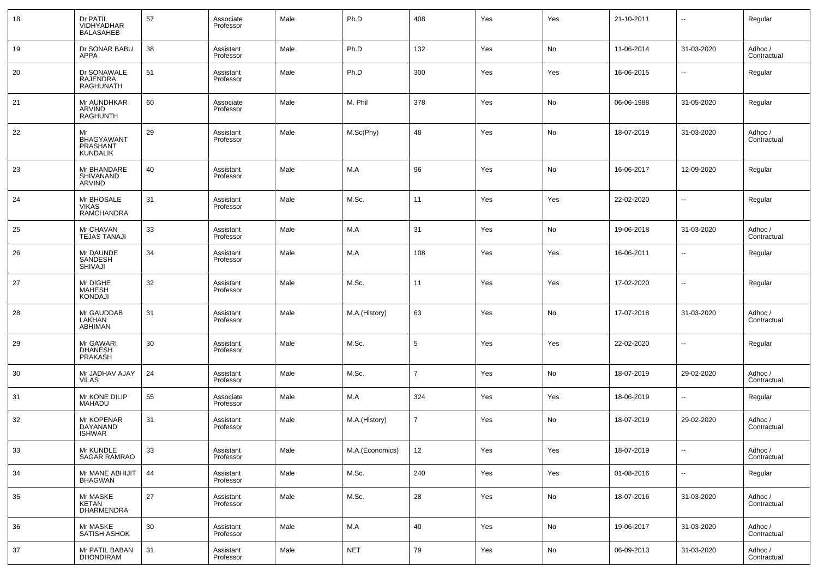| 18 | Dr PATIL<br><b>VIDHYADHAR</b><br><b>BALASAHEB</b>      | 57 | Associate<br>Professor | Male | Ph.D            | 408            | Yes | Yes | 21-10-2011 | --                       | Regular                |
|----|--------------------------------------------------------|----|------------------------|------|-----------------|----------------|-----|-----|------------|--------------------------|------------------------|
| 19 | Dr SONAR BABU<br>APPA                                  | 38 | Assistant<br>Professor | Male | Ph.D            | 132            | Yes | No  | 11-06-2014 | 31-03-2020               | Adhoc /<br>Contractual |
| 20 | Dr SONAWALE<br><b>RAJENDRA</b><br><b>RAGHUNATH</b>     | 51 | Assistant<br>Professor | Male | Ph.D            | 300            | Yes | Yes | 16-06-2015 | $\overline{a}$           | Regular                |
| 21 | Mr AUNDHKAR<br><b>ARVIND</b><br><b>RAGHUNTH</b>        | 60 | Associate<br>Professor | Male | M. Phil         | 378            | Yes | No  | 06-06-1988 | 31-05-2020               | Regular                |
| 22 | Mr<br><b>BHAGYAWANT</b><br>PRASHANT<br><b>KUNDALIK</b> | 29 | Assistant<br>Professor | Male | M.Sc(Phy)       | 48             | Yes | No  | 18-07-2019 | 31-03-2020               | Adhoc /<br>Contractual |
| 23 | Mr BHANDARE<br>SHIVANAND<br>ARVIND                     | 40 | Assistant<br>Professor | Male | M.A             | 96             | Yes | No  | 16-06-2017 | 12-09-2020               | Regular                |
| 24 | Mr BHOSALE<br><b>VIKAS</b><br>RAMCHANDRA               | 31 | Assistant<br>Professor | Male | M.Sc.           | 11             | Yes | Yes | 22-02-2020 | --                       | Regular                |
| 25 | Mr CHAVAN<br><b>TEJAS TANAJI</b>                       | 33 | Assistant<br>Professor | Male | M.A             | 31             | Yes | No  | 19-06-2018 | 31-03-2020               | Adhoc /<br>Contractual |
| 26 | Mr DAUNDE<br>SANDESH<br><b>SHIVAJI</b>                 | 34 | Assistant<br>Professor | Male | M.A             | 108            | Yes | Yes | 16-06-2011 | $\overline{a}$           | Regular                |
| 27 | Mr DIGHE<br><b>MAHESH</b><br><b>KONDAJI</b>            | 32 | Assistant<br>Professor | Male | M.Sc.           | 11             | Yes | Yes | 17-02-2020 | --                       | Regular                |
| 28 | Mr GAUDDAB<br>LAKHAN<br><b>ABHIMAN</b>                 | 31 | Assistant<br>Professor | Male | M.A.(History)   | 63             | Yes | No  | 17-07-2018 | 31-03-2020               | Adhoc /<br>Contractual |
| 29 | Mr GAWARI<br>DHANESH<br><b>PRAKASH</b>                 | 30 | Assistant<br>Professor | Male | M.Sc.           | 5              | Yes | Yes | 22-02-2020 | --                       | Regular                |
| 30 | Mr JADHAV AJAY<br><b>VILAS</b>                         | 24 | Assistant<br>Professor | Male | M.Sc.           | $\overline{7}$ | Yes | No  | 18-07-2019 | 29-02-2020               | Adhoc /<br>Contractual |
| 31 | Mr KONE DILIP<br><b>MAHADU</b>                         | 55 | Associate<br>Professor | Male | M.A             | 324            | Yes | Yes | 18-06-2019 | --                       | Regular                |
| 32 | Mr KOPENAR<br>DAYANAND<br><b>ISHWAR</b>                | 31 | Assistant<br>Professor | Male | M.A.(History)   | $\overline{7}$ | Yes | No  | 18-07-2019 | 29-02-2020               | Adhoc /<br>Contractual |
| 33 | Mr KUNDLE<br>SAGAR RAMRAO                              | 33 | Assistant<br>Professor | Male | M.A.(Economics) | 12             | Yes | Yes | 18-07-2019 | $\overline{\phantom{a}}$ | Adhoc /<br>Contractual |
| 34 | Mr MANE ABHIJIT<br><b>BHAGWAN</b>                      | 44 | Assistant<br>Professor | Male | M.Sc.           | 240            | Yes | Yes | 01-08-2016 | $\sim$                   | Regular                |
| 35 | Mr MASKE<br>KETAN<br>DHARMENDRA                        | 27 | Assistant<br>Professor | Male | M.Sc.           | 28             | Yes | No  | 18-07-2016 | 31-03-2020               | Adhoc /<br>Contractual |
| 36 | Mr MASKE<br>SATISH ASHOK                               | 30 | Assistant<br>Professor | Male | M.A             | 40             | Yes | No  | 19-06-2017 | 31-03-2020               | Adhoc /<br>Contractual |
| 37 | Mr PATIL BABAN<br><b>DHONDIRAM</b>                     | 31 | Assistant<br>Professor | Male | <b>NET</b>      | 79             | Yes | No  | 06-09-2013 | 31-03-2020               | Adhoc /<br>Contractual |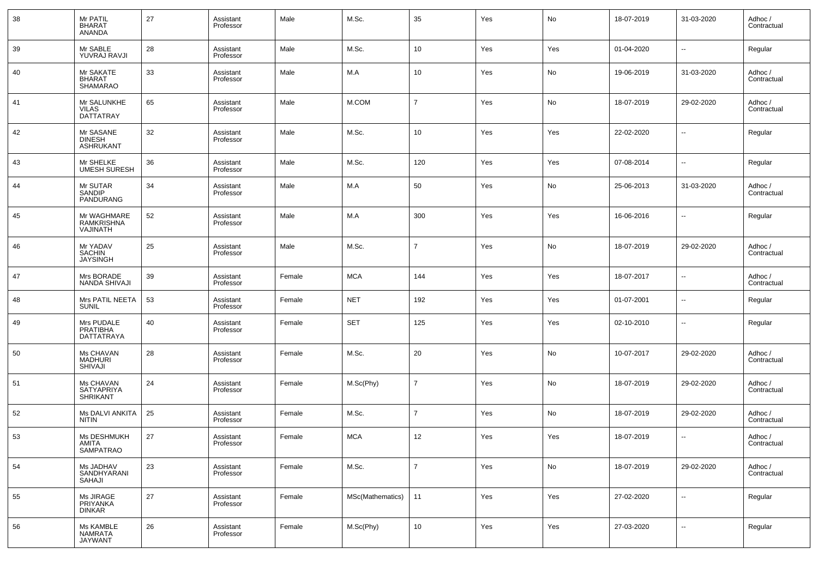| 38 | Mr PATIL<br><b>BHARAT</b><br><b>ANANDA</b>     | 27 | Assistant<br>Professor | Male   | M.Sc.            | 35             | Yes | No  | 18-07-2019 | 31-03-2020               | Adhoc /<br>Contractual |
|----|------------------------------------------------|----|------------------------|--------|------------------|----------------|-----|-----|------------|--------------------------|------------------------|
| 39 | Mr SABLE<br>YUVRAJ RAVJI                       | 28 | Assistant<br>Professor | Male   | M.Sc.            | 10             | Yes | Yes | 01-04-2020 | $\overline{\phantom{a}}$ | Regular                |
| 40 | Mr SAKATE<br><b>BHARAT</b><br><b>SHAMARAO</b>  | 33 | Assistant<br>Professor | Male   | M.A              | 10             | Yes | No  | 19-06-2019 | 31-03-2020               | Adhoc /<br>Contractual |
| 41 | Mr SALUNKHE<br><b>VILAS</b><br>DATTATRAY       | 65 | Assistant<br>Professor | Male   | M.COM            | $\overline{7}$ | Yes | No  | 18-07-2019 | 29-02-2020               | Adhoc /<br>Contractual |
| 42 | Mr SASANE<br><b>DINESH</b><br><b>ASHRUKANT</b> | 32 | Assistant<br>Professor | Male   | M.Sc.            | 10             | Yes | Yes | 22-02-2020 | $\sim$                   | Regular                |
| 43 | Mr SHELKE<br><b>UMESH SURESH</b>               | 36 | Assistant<br>Professor | Male   | M.Sc.            | 120            | Yes | Yes | 07-08-2014 | $\overline{\phantom{a}}$ | Regular                |
| 44 | Mr SUTAR<br><b>SANDIP</b><br>PANDURANG         | 34 | Assistant<br>Professor | Male   | M.A              | 50             | Yes | No  | 25-06-2013 | 31-03-2020               | Adhoc /<br>Contractual |
| 45 | Mr WAGHMARE<br>RAMKRISHNA<br>VAJINATH          | 52 | Assistant<br>Professor | Male   | M.A              | 300            | Yes | Yes | 16-06-2016 | $\overline{\phantom{a}}$ | Regular                |
| 46 | Mr YADAV<br><b>SACHIN</b><br><b>JAYSINGH</b>   | 25 | Assistant<br>Professor | Male   | M.Sc.            | $\overline{7}$ | Yes | No  | 18-07-2019 | 29-02-2020               | Adhoc /<br>Contractual |
| 47 | Mrs BORADE<br><b>NANDA SHIVAJI</b>             | 39 | Assistant<br>Professor | Female | <b>MCA</b>       | 144            | Yes | Yes | 18-07-2017 | $\overline{\phantom{a}}$ | Adhoc /<br>Contractual |
| 48 | Mrs PATIL NEETA<br><b>SUNIL</b>                | 53 | Assistant<br>Professor | Female | <b>NET</b>       | 192            | Yes | Yes | 01-07-2001 | $\overline{\phantom{a}}$ | Regular                |
| 49 | Mrs PUDALE<br><b>PRATIBHA</b><br>DATTATRAYA    | 40 | Assistant<br>Professor | Female | <b>SET</b>       | 125            | Yes | Yes | 02-10-2010 | $\overline{\phantom{a}}$ | Regular                |
| 50 | Ms CHAVAN<br><b>MADHURI</b><br><b>SHIVAJI</b>  | 28 | Assistant<br>Professor | Female | M.Sc.            | 20             | Yes | No  | 10-07-2017 | 29-02-2020               | Adhoc /<br>Contractual |
| 51 | Ms CHAVAN<br>SATYAPRIYA<br><b>SHRIKANT</b>     | 24 | Assistant<br>Professor | Female | M.Sc(Phy)        | $\overline{7}$ | Yes | No  | 18-07-2019 | 29-02-2020               | Adhoc /<br>Contractual |
| 52 | Ms DALVI ANKITA<br><b>NITIN</b>                | 25 | Assistant<br>Professor | Female | M.Sc.            | $\overline{7}$ | Yes | No  | 18-07-2019 | 29-02-2020               | Adhoc /<br>Contractual |
| 53 | Ms DESHMUKH<br>AMITA<br><b>SAMPATRAO</b>       | 27 | Assistant<br>Professor | Female | <b>MCA</b>       | 12             | Yes | Yes | 18-07-2019 | $\overline{\phantom{a}}$ | Adhoc /<br>Contractual |
| 54 | Ms JADHAV<br>SANDHYARANI<br>SAHAJI             | 23 | Assistant<br>Professor | Female | M.Sc.            | $\overline{7}$ | Yes | No  | 18-07-2019 | 29-02-2020               | Adhoc /<br>Contractual |
| 55 | Ms JIRAGE<br><b>PRIYANKA</b><br><b>DINKAR</b>  | 27 | Assistant<br>Professor | Female | MSc(Mathematics) | 11             | Yes | Yes | 27-02-2020 | $\overline{\phantom{a}}$ | Regular                |
| 56 | Ms KAMBLE<br>NAMRATA<br><b>JAYWANT</b>         | 26 | Assistant<br>Professor | Female | M.Sc(Phy)        | 10             | Yes | Yes | 27-03-2020 | $\overline{\phantom{a}}$ | Regular                |